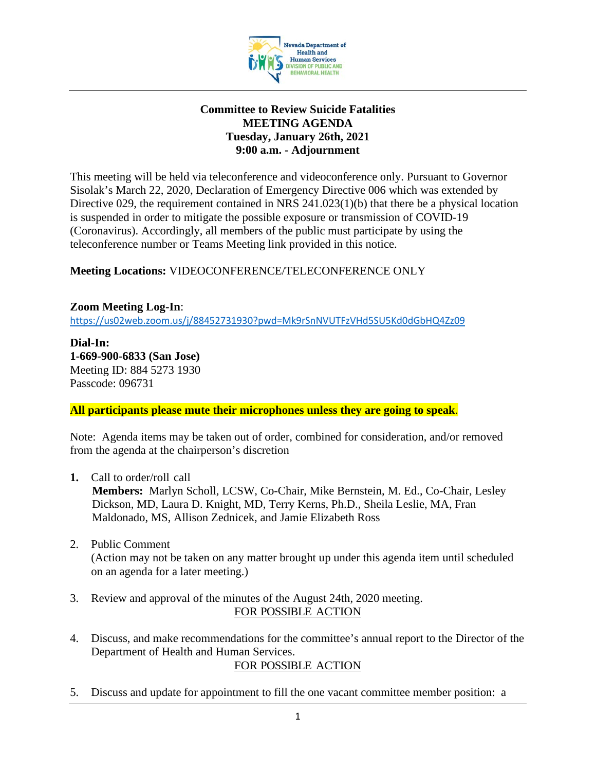

### **Committee to Review Suicide Fatalities MEETING AGENDA Tuesday, January 26th, 2021 9:00 a.m. - Adjournment**

This meeting will be held via teleconference and videoconference only. Pursuant to Governor Sisolak's March 22, 2020, Declaration of Emergency Directive 006 which was extended by Directive 029, the requirement contained in NRS 241.023(1)(b) that there be a physical location is suspended in order to mitigate the possible exposure or transmission of COVID-19 (Coronavirus). Accordingly, all members of the public must participate by using the teleconference number or Teams Meeting link provided in this notice.

# **Meeting Locations:** VIDEOCONFERENCE/TELECONFERENCE ONLY

**Zoom Meeting Log-In**: <https://us02web.zoom.us/j/88452731930?pwd=Mk9rSnNVUTFzVHd5SU5Kd0dGbHQ4Zz09>

**Dial-In: 1-669-900-6833 (San Jose)**  Meeting ID: 884 5273 1930 Passcode: 096731

**All participants please mute their microphones unless they are going to speak**.

Note: Agenda items may be taken out of order, combined for consideration, and/or removed from the agenda at the chairperson's discretion

**1.** Call to order/roll call

**Members:** Marlyn Scholl, LCSW, Co-Chair, Mike Bernstein, M. Ed., Co-Chair, Lesley Dickson, MD, Laura D. Knight, MD, Terry Kerns, Ph.D., Sheila Leslie, MA, Fran Maldonado, MS, Allison Zednicek, and Jamie Elizabeth Ross

- 2. Public Comment (Action may not be taken on any matter brought up under this agenda item until scheduled on an agenda for a later meeting.)
- 3. Review and approval of the minutes of the August 24th, 2020 meeting. FOR POSSIBLE ACTION
- 4. Discuss, and make recommendations for the committee's annual report to the Director of the Department of Health and Human Services.

## FOR POSSIBLE ACTION

5. Discuss and update for appointment to fill the one vacant committee member position: a